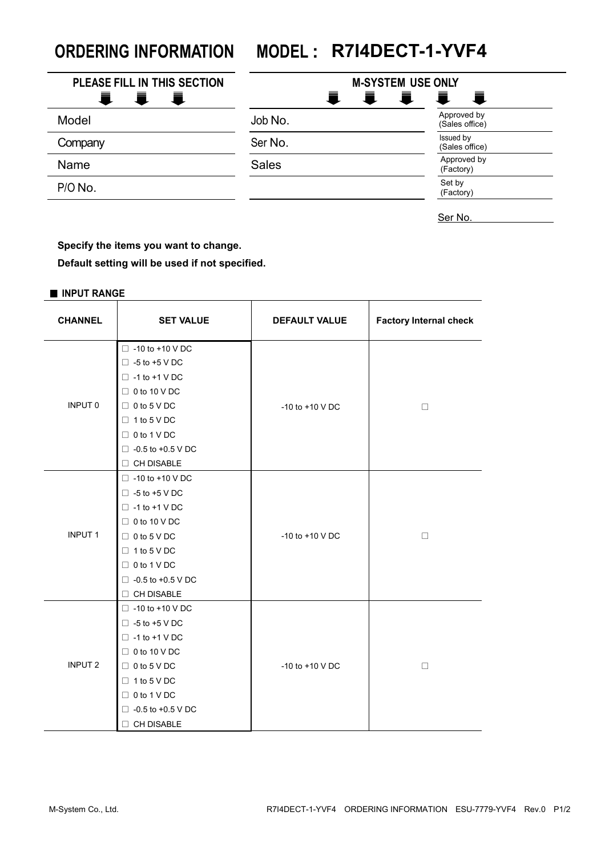# **ORDERING INFORMATION MODEL : R7I4DECT-1-YVF4**

| <b>PLEASE FILL IN THIS SECTION</b> | <b>M-SYSTEM USE ONLY</b> |                                         |
|------------------------------------|--------------------------|-----------------------------------------|
| Ħ.<br>Ε.<br>量<br>Model             | Ħ.<br>量<br>Job No.       | 量<br>量<br>Approved by<br>(Sales office) |
| Company                            | Ser No.                  | Issued by<br>(Sales office)             |
| Name                               | <b>Sales</b>             | Approved by<br>(Factory)                |
| P/O No.                            |                          | Set by<br>(Factory)                     |

Ser No.

## **Specify the items you want to change.**

**Default setting will be used if not specified.**

#### ■ **INPUT RANGE**

| <b>CHANNEL</b> | <b>SET VALUE</b>        | <b>DEFAULT VALUE</b> | <b>Factory Internal check</b> |  |
|----------------|-------------------------|----------------------|-------------------------------|--|
|                | $\Box$ -10 to +10 V DC  |                      |                               |  |
|                | $\Box$ -5 to +5 V DC    |                      |                               |  |
|                | $\Box$ -1 to +1 V DC    |                      |                               |  |
|                | $\Box$ 0 to 10 V DC     |                      |                               |  |
| <b>INPUT 0</b> | $\Box$ 0 to 5 V DC      | $-10$ to $+10$ V DC  | $\Box$                        |  |
|                | $\Box$ 1 to 5 V DC      |                      |                               |  |
|                | $\Box$ 0 to 1 V DC      |                      |                               |  |
|                | □ $-0.5$ to $+0.5$ V DC |                      |                               |  |
|                | $\Box$ CH DISABLE       |                      |                               |  |
|                | $\Box$ -10 to +10 V DC  |                      |                               |  |
|                | $\Box$ -5 to +5 V DC    |                      |                               |  |
|                | $\Box$ -1 to +1 V DC    |                      |                               |  |
|                | $\Box$ 0 to 10 V DC     |                      | $\Box$                        |  |
| <b>INPUT 1</b> | $\Box$ 0 to 5 V DC      | $-10$ to $+10$ V DC  |                               |  |
|                | $\Box$ 1 to 5 V DC      |                      |                               |  |
|                | $\Box$ 0 to 1 V DC      |                      |                               |  |
|                | □ $-0.5$ to $+0.5$ V DC |                      |                               |  |
|                | $\Box$ CH DISABLE       |                      |                               |  |
|                | $\Box$ -10 to +10 V DC  |                      |                               |  |
|                | $\Box$ -5 to +5 V DC    |                      |                               |  |
| <b>INPUT 2</b> | $\Box$ -1 to +1 V DC    |                      |                               |  |
|                | $\Box$ 0 to 10 V DC     |                      |                               |  |
|                | $\Box$ 0 to 5 V DC      | $-10$ to $+10$ V DC  | $\Box$                        |  |
|                | $\Box$ 1 to 5 V DC      |                      |                               |  |
|                | $\Box$ 0 to 1 V DC      |                      |                               |  |
|                | □ -0.5 to +0.5 V DC     |                      |                               |  |
|                | $\Box$ CH DISABLE       |                      |                               |  |